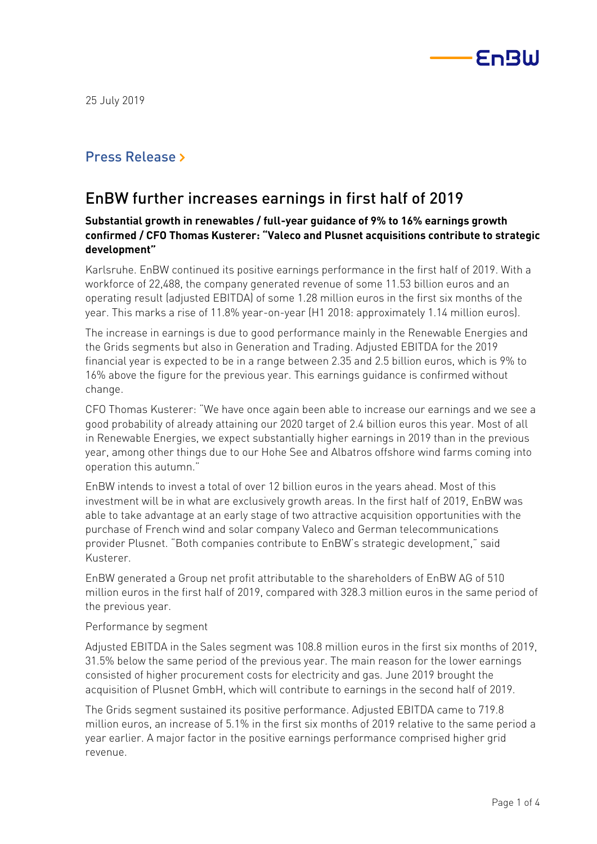

## Press Release »

# EnBW further increases earnings in first half of 2019

## **Substantial growth in renewables / full-year guidance of 9% to 16% earnings growth confirmed / CFO Thomas Kusterer: "Valeco and Plusnet acquisitions contribute to strategic development"**

Karlsruhe. EnBW continued its positive earnings performance in the first half of 2019. With a workforce of 22,488, the company generated revenue of some 11.53 billion euros and an operating result (adjusted EBITDA) of some 1.28 million euros in the first six months of the year. This marks a rise of 11.8% year-on-year (H1 2018: approximately 1.14 million euros).

The increase in earnings is due to good performance mainly in the Renewable Energies and the Grids segments but also in Generation and Trading. Adjusted EBITDA for the 2019 financial year is expected to be in a range between 2.35 and 2.5 billion euros, which is 9% to 16% above the figure for the previous year. This earnings guidance is confirmed without change.

CFO Thomas Kusterer: "We have once again been able to increase our earnings and we see a good probability of already attaining our 2020 target of 2.4 billion euros this year. Most of all in Renewable Energies, we expect substantially higher earnings in 2019 than in the previous year, among other things due to our Hohe See and Albatros offshore wind farms coming into operation this autumn."

EnBW intends to invest a total of over 12 billion euros in the years ahead. Most of this investment will be in what are exclusively growth areas. In the first half of 2019, EnBW was able to take advantage at an early stage of two attractive acquisition opportunities with the purchase of French wind and solar company Valeco and German telecommunications provider Plusnet. "Both companies contribute to EnBW's strategic development," said Kusterer.

EnBW generated a Group net profit attributable to the shareholders of EnBW AG of 510 million euros in the first half of 2019, compared with 328.3 million euros in the same period of the previous year.

### Performance by segment

Adjusted EBITDA in the Sales segment was 108.8 million euros in the first six months of 2019, 31.5% below the same period of the previous year. The main reason for the lower earnings consisted of higher procurement costs for electricity and gas. June 2019 brought the acquisition of Plusnet GmbH, which will contribute to earnings in the second half of 2019.

The Grids segment sustained its positive performance. Adjusted EBITDA came to 719.8 million euros, an increase of 5.1% in the first six months of 2019 relative to the same period a year earlier. A major factor in the positive earnings performance comprised higher grid revenue.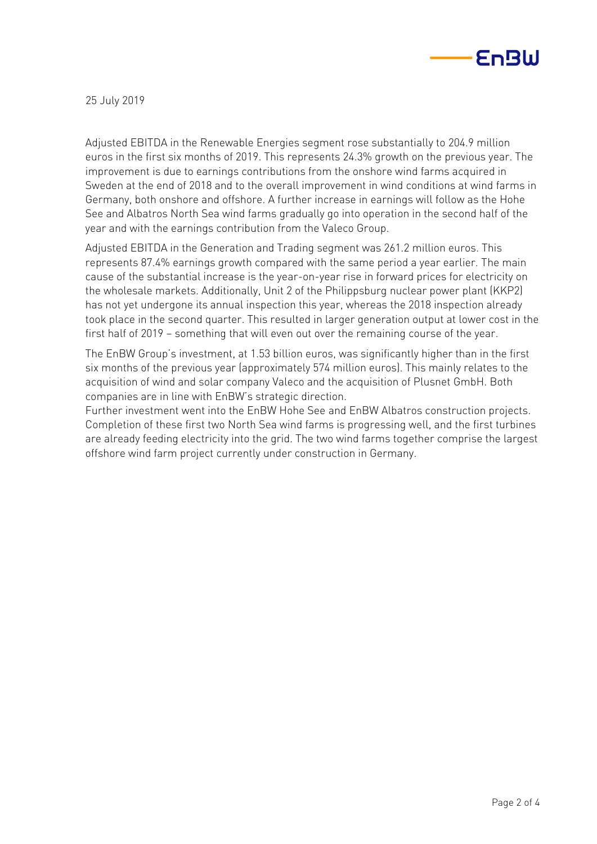

Adjusted EBITDA in the Renewable Energies segment rose substantially to 204.9 million euros in the first six months of 2019. This represents 24.3% growth on the previous year. The improvement is due to earnings contributions from the onshore wind farms acquired in Sweden at the end of 2018 and to the overall improvement in wind conditions at wind farms in Germany, both onshore and offshore. A further increase in earnings will follow as the Hohe See and Albatros North Sea wind farms gradually go into operation in the second half of the year and with the earnings contribution from the Valeco Group.

Adjusted EBITDA in the Generation and Trading segment was 261.2 million euros. This represents 87.4% earnings growth compared with the same period a year earlier. The main cause of the substantial increase is the year-on-year rise in forward prices for electricity on the wholesale markets. Additionally, Unit 2 of the Philippsburg nuclear power plant (KKP2) has not yet undergone its annual inspection this year, whereas the 2018 inspection already took place in the second quarter. This resulted in larger generation output at lower cost in the first half of 2019 – something that will even out over the remaining course of the year.

The EnBW Group's investment, at 1.53 billion euros, was significantly higher than in the first six months of the previous year (approximately 574 million euros). This mainly relates to the acquisition of wind and solar company Valeco and the acquisition of Plusnet GmbH. Both companies are in line with EnBW's strategic direction.

Further investment went into the EnBW Hohe See and EnBW Albatros construction projects. Completion of these first two North Sea wind farms is progressing well, and the first turbines are already feeding electricity into the grid. The two wind farms together comprise the largest offshore wind farm project currently under construction in Germany.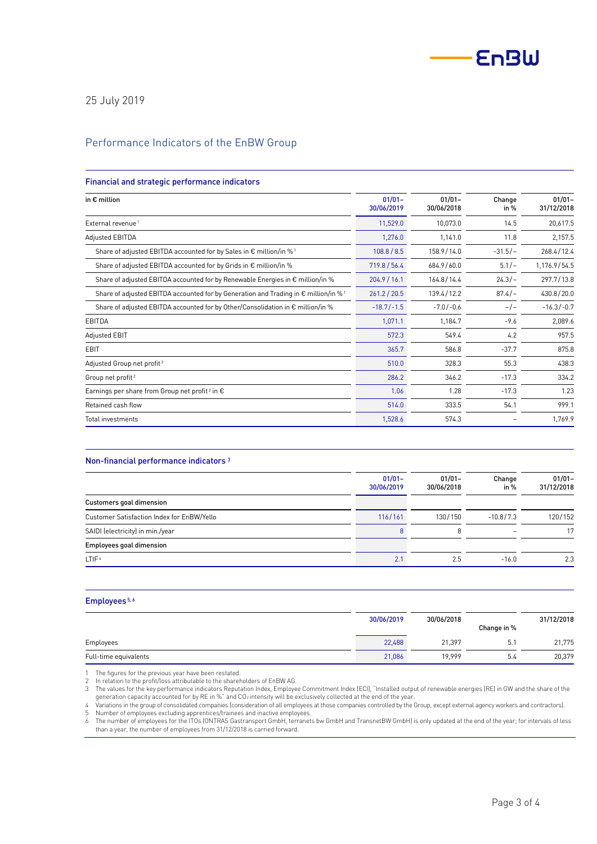

### Performance Indicators of the EnBW Group

#### Financial and strategic performance indicators

| in $\epsilon$ million                                                                                    | $01/01 -$<br>30/06/2019 | $01/01 -$<br>30/06/2018 | Change<br>in $%$ | $01/01 -$<br>31/12/2018 |
|----------------------------------------------------------------------------------------------------------|-------------------------|-------------------------|------------------|-------------------------|
| External revenue <sup>1</sup>                                                                            | 11,529.0                | 10,073.0                | 14.5             | 20,617.5                |
| Adjusted EBITDA                                                                                          | 1,276.0                 | 1,141.0                 | 11.8             | 2,157.5                 |
| Share of adjusted EBITDA accounted for by Sales in $\epsilon$ million/in % <sup>1</sup>                  | 108.8 / 8.5             | 158.9/14.0              | $-31.5/-$        | 268.4/12.4              |
| Share of adjusted EBITDA accounted for by Grids in $\epsilon$ million/in %                               | 719.8 / 56.4            | 684.9/60.0              | $5.1/-$          | 1,176.9/54.5            |
| Share of adjusted EBITDA accounted for by Renewable Energies in € million/in %                           | 204.9 / 16.1            | 164.8/14.4              | $24.3/-$         | 297.7/13.8              |
| Share of adjusted EBITDA accounted for by Generation and Trading in $\epsilon$ million/in % <sup>1</sup> | 261.2 / 20.5            | 139.4/12.2              | $87.4/-$         | 430.8/20.0              |
| Share of adjusted EBITDA accounted for by Other/Consolidation in € million/in %                          | $-18.7/-1.5$            | $-7.0/-0.6$             | $-/-$            | $-16.3/-0.7$            |
| EBITDA                                                                                                   | 1,071.1                 | 1,184.7                 | $-9.6$           | 2,089.6                 |
| Adjusted EBIT                                                                                            | 572.3                   | 549.4                   | 4.2              | 957.5                   |
| <b>EBIT</b>                                                                                              | 365.7                   | 586.8                   | $-37.7$          | 875.8                   |
| Adjusted Group net profit <sup>2</sup>                                                                   | 510.0                   | 328.3                   | 55.3             | 438.3                   |
| Group net profit <sup>2</sup>                                                                            | 286.2                   | 346.2                   | $-17.3$          | 334.2                   |
| Earnings per share from Group net profit <sup>2</sup> in $\epsilon$                                      | 1.06                    | 1.28                    | $-17.3$          | 1.23                    |
| Retained cash flow                                                                                       | 514.0                   | 333.5                   | 54.1             | 999.1                   |
| Total investments                                                                                        | 1,528.6                 | 574.3                   |                  | 1,769.9                 |

#### Non-financial performance indicators <sup>3</sup>

|                                            | $01/01 -$<br>30/06/2019 | $01/01 -$<br>30/06/2018 | Change<br>in $%$ | $01/01 -$<br>31/12/2018 |
|--------------------------------------------|-------------------------|-------------------------|------------------|-------------------------|
| Customers goal dimension                   |                         |                         |                  |                         |
| Customer Satisfaction Index for EnBW/Yello | 116/161                 | 130/150                 | $-10.8/7.3$      | 120/152                 |
| SAIDI (electricity) in min./year           |                         | 8                       |                  | 17                      |
| <b>Employees goal dimension</b>            |                         |                         |                  |                         |
| LTIF <sup>4</sup>                          | 2.1                     | 2.5                     | $-16.0$          | 2.3                     |

#### Employees 5, 6

|                       | 30/06/2019 | 30/06/2018 | Change in % | 31/12/2018 |
|-----------------------|------------|------------|-------------|------------|
| Employees             | 22,488     | 21.397     | 5.1         | 21,775     |
| Full-time equivalents | 21,086     | 19.999     | 5.4         | 20,379     |

1 The figures for the previous year have been restated.<br>2 In relation to the profit/loss attributable to the shareh

In relation to the profit/loss attributable to the shareholders of EnBW AG.

3 The values for the key performance indicators Reputation Index, Employee Commitment Index (ECI), "Installed output of renewable energies (RE) in GW and the share of the

generation capacity accounted for by RE in %" and CO2 intensity will be exclusively collected at the end of the year.<br>4 Variations in the group of consolidated companies (consideration of all employees at those companies c

5 Number of employees excluding apprentices/trainees and inactive employees.

6 The number of employees for the ITOs (ONTRAS Gastransport GmbH, terranets bw GmbH and TransnetBW GmbH) is only updated at the end of the year; for intervals of less than a year, the number of employees from 31/12/2018 is carried forward.